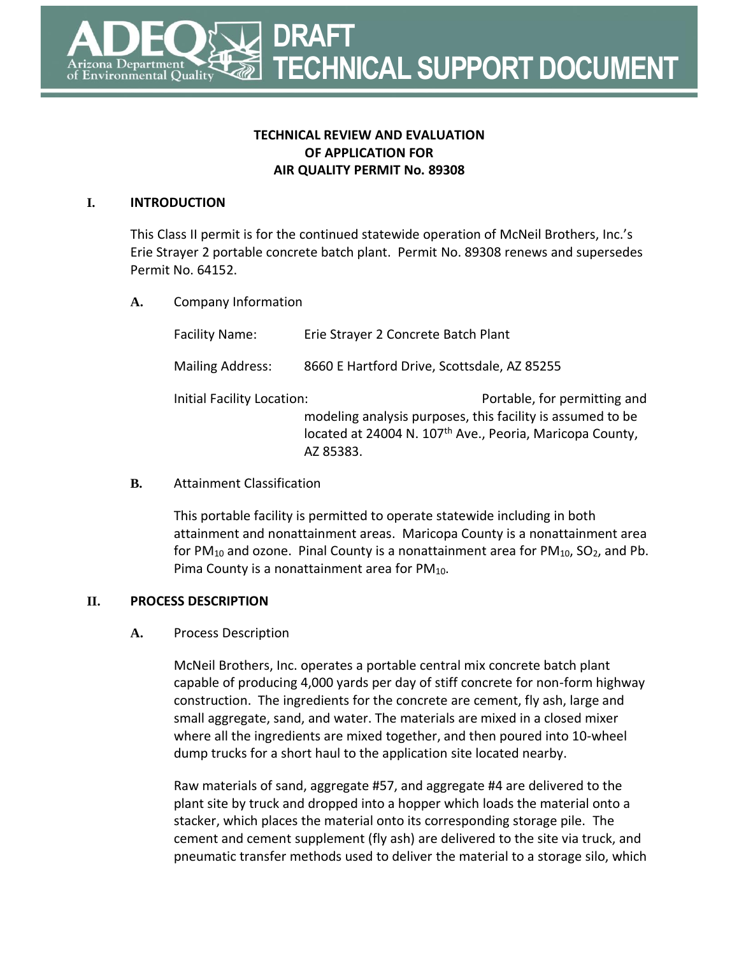**TECHNICAL SUPPORT DOCUMENT**

# **TECHNICAL REVIEW AND EVALUATION OF APPLICATION FOR AIR QUALITY PERMIT No. 89308**

**DRAFT** 

#### **I. INTRODUCTION**

ironmental Qualit<sup>.</sup>

This Class II permit is for the continued statewide operation of McNeil Brothers, Inc.'s Erie Strayer 2 portable concrete batch plant. Permit No. 89308 renews and supersedes Permit No. 64152.

**A.** Company Information

Facility Name: Erie Strayer 2 Concrete Batch Plant Mailing Address: 8660 E Hartford Drive, Scottsdale, AZ 85255 Initial Facility Location: The Controllery of the Portable, for permitting and modeling analysis purposes, this facility is assumed to be located at 24004 N. 107<sup>th</sup> Ave., Peoria, Maricopa County, AZ 85383.

**B.** Attainment Classification

This portable facility is permitted to operate statewide including in both attainment and nonattainment areas. Maricopa County is a nonattainment area for PM<sub>10</sub> and ozone. Pinal County is a nonattainment area for PM<sub>10</sub>, SO<sub>2</sub>, and Pb. Pima County is a nonattainment area for  $PM_{10}$ .

### **II. PROCESS DESCRIPTION**

### **A.** Process Description

McNeil Brothers, Inc. operates a portable central mix concrete batch plant capable of producing 4,000 yards per day of stiff concrete for non-form highway construction. The ingredients for the concrete are cement, fly ash, large and small aggregate, sand, and water. The materials are mixed in a closed mixer where all the ingredients are mixed together, and then poured into 10-wheel dump trucks for a short haul to the application site located nearby.

Raw materials of sand, aggregate #57, and aggregate #4 are delivered to the plant site by truck and dropped into a hopper which loads the material onto a stacker, which places the material onto its corresponding storage pile. The cement and cement supplement (fly ash) are delivered to the site via truck, and pneumatic transfer methods used to deliver the material to a storage silo, which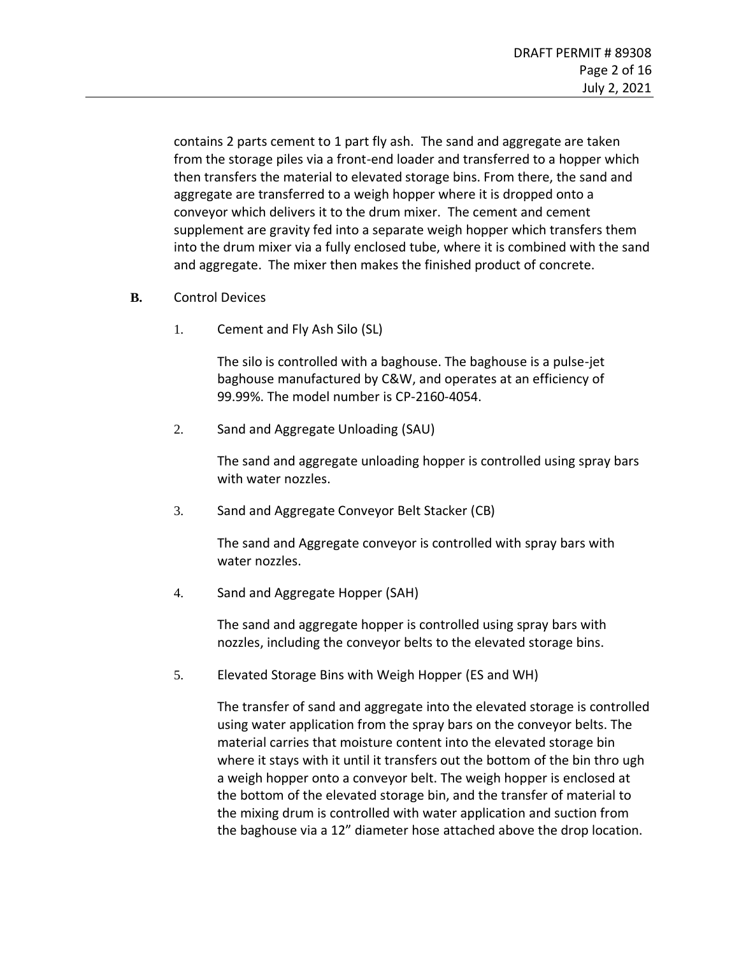contains 2 parts cement to 1 part fly ash. The sand and aggregate are taken from the storage piles via a front-end loader and transferred to a hopper which then transfers the material to elevated storage bins. From there, the sand and aggregate are transferred to a weigh hopper where it is dropped onto a conveyor which delivers it to the drum mixer. The cement and cement supplement are gravity fed into a separate weigh hopper which transfers them into the drum mixer via a fully enclosed tube, where it is combined with the sand and aggregate. The mixer then makes the finished product of concrete.

- **B.** Control Devices
	- 1. Cement and Fly Ash Silo (SL)

The silo is controlled with a baghouse. The baghouse is a pulse-jet baghouse manufactured by C&W, and operates at an efficiency of 99.99%. The model number is CP-2160-4054.

2. Sand and Aggregate Unloading (SAU)

The sand and aggregate unloading hopper is controlled using spray bars with water nozzles.

3. Sand and Aggregate Conveyor Belt Stacker (CB)

The sand and Aggregate conveyor is controlled with spray bars with water nozzles.

4. Sand and Aggregate Hopper (SAH)

The sand and aggregate hopper is controlled using spray bars with nozzles, including the conveyor belts to the elevated storage bins.

5. Elevated Storage Bins with Weigh Hopper (ES and WH)

The transfer of sand and aggregate into the elevated storage is controlled using water application from the spray bars on the conveyor belts. The material carries that moisture content into the elevated storage bin where it stays with it until it transfers out the bottom of the bin thro ugh a weigh hopper onto a conveyor belt. The weigh hopper is enclosed at the bottom of the elevated storage bin, and the transfer of material to the mixing drum is controlled with water application and suction from the baghouse via a 12" diameter hose attached above the drop location.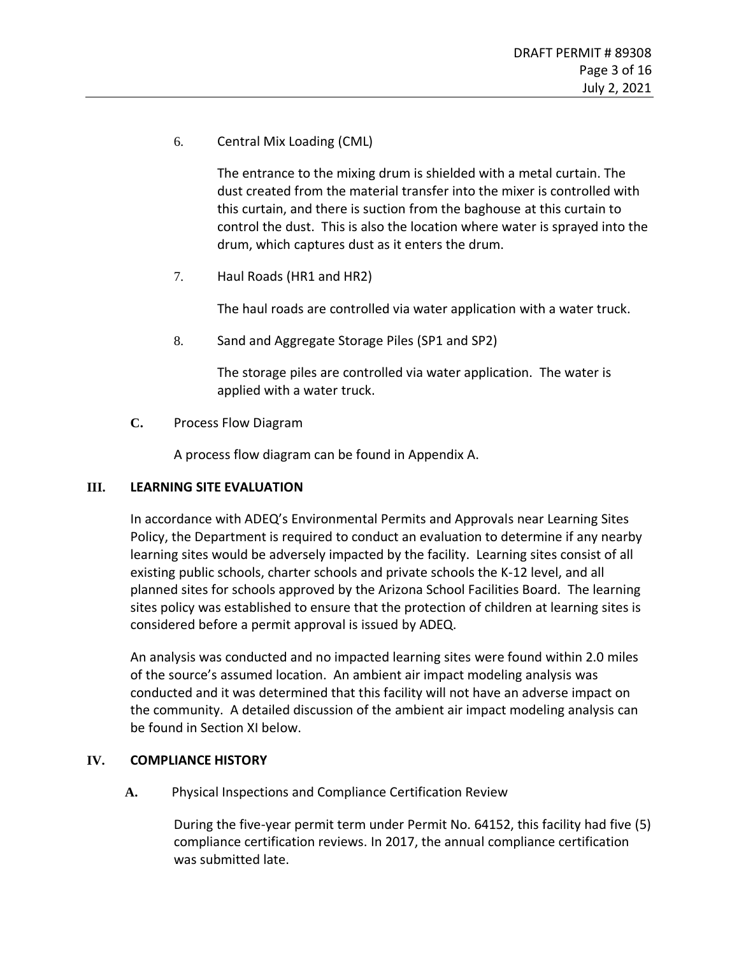6. Central Mix Loading (CML)

The entrance to the mixing drum is shielded with a metal curtain. The dust created from the material transfer into the mixer is controlled with this curtain, and there is suction from the baghouse at this curtain to control the dust. This is also the location where water is sprayed into the drum, which captures dust as it enters the drum.

7. Haul Roads (HR1 and HR2)

The haul roads are controlled via water application with a water truck.

8. Sand and Aggregate Storage Piles (SP1 and SP2)

The storage piles are controlled via water application. The water is applied with a water truck.

**C.** Process Flow Diagram

A process flow diagram can be found in Appendix A.

### **III. LEARNING SITE EVALUATION**

In accordance with ADEQ's Environmental Permits and Approvals near Learning Sites Policy, the Department is required to conduct an evaluation to determine if any nearby learning sites would be adversely impacted by the facility. Learning sites consist of all existing public schools, charter schools and private schools the K-12 level, and all planned sites for schools approved by the Arizona School Facilities Board. The learning sites policy was established to ensure that the protection of children at learning sites is considered before a permit approval is issued by ADEQ.

An analysis was conducted and no impacted learning sites were found within 2.0 miles of the source's assumed location. An ambient air impact modeling analysis was conducted and it was determined that this facility will not have an adverse impact on the community. A detailed discussion of the ambient air impact modeling analysis can be found in Section [XI](#page-13-0) below.

### **IV. COMPLIANCE HISTORY**

**A.** Physical Inspections and Compliance Certification Review

During the five-year permit term under Permit No. 64152, this facility had five (5) compliance certification reviews. In 2017, the annual compliance certification was submitted late.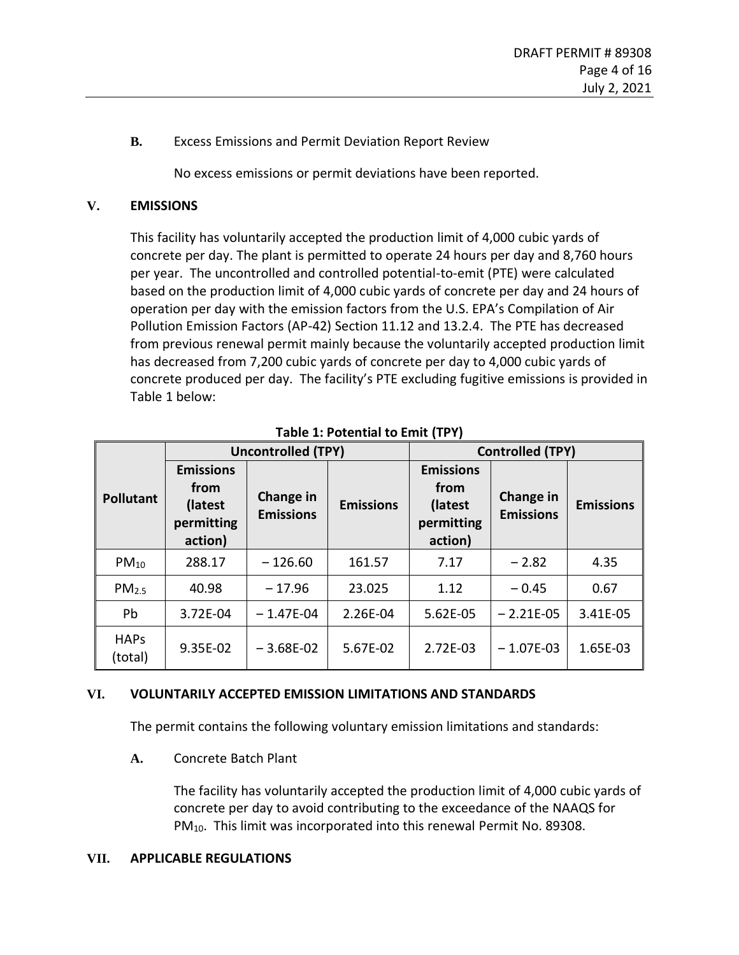**B.** Excess Emissions and Permit Deviation Report Review

No excess emissions or permit deviations have been reported.

# **V. EMISSIONS**

This facility has voluntarily accepted the production limit of 4,000 cubic yards of concrete per day. The plant is permitted to operate 24 hours per day and 8,760 hours per year. The uncontrolled and controlled potential-to-emit (PTE) were calculated based on the production limit of 4,000 cubic yards of concrete per day and 24 hours of operation per day with the emission factors from the U.S. EPA's Compilation of Air Pollution Emission Factors (AP-42) Section 11.12 and 13.2.4. The PTE has decreased from previous renewal permit mainly because the voluntarily accepted production limit has decreased from 7,200 cubic yards of concrete per day to 4,000 cubic yards of concrete produced per day. The facility's PTE excluding fugitive emissions is provided in [Table 1](#page-3-0) below:

<span id="page-3-0"></span>

|                        |                                                              | <b>Uncontrolled (TPY)</b>     |                  | <b>Controlled (TPY)</b>                                      |                               |                  |
|------------------------|--------------------------------------------------------------|-------------------------------|------------------|--------------------------------------------------------------|-------------------------------|------------------|
| <b>Pollutant</b>       | <b>Emissions</b><br>from<br>(latest<br>permitting<br>action) | Change in<br><b>Emissions</b> | <b>Emissions</b> | <b>Emissions</b><br>from<br>(latest<br>permitting<br>action) | Change in<br><b>Emissions</b> | <b>Emissions</b> |
| $PM_{10}$              | 288.17                                                       | $-126.60$                     | 161.57           | 7.17                                                         | $-2.82$                       | 4.35             |
| PM <sub>2.5</sub>      | 40.98                                                        | $-17.96$                      | 23.025           | 1.12                                                         | $-0.45$                       | 0.67             |
| Pb                     | 3.72E-04                                                     | $-1.47E-04$                   | 2.26E-04         | 5.62E-05                                                     | $-2.21E-05$                   | 3.41E-05         |
| <b>HAPS</b><br>(total) | 9.35E-02                                                     | $-3.68E-02$                   | 5.67E-02         | 2.72E-03                                                     | $-1.07E-03$                   | 1.65E-03         |

**Table 1: Potential to Emit (TPY)**

### **VI. VOLUNTARILY ACCEPTED EMISSION LIMITATIONS AND STANDARDS**

The permit contains the following voluntary emission limitations and standards:

**A.** Concrete Batch Plant

The facility has voluntarily accepted the production limit of 4,000 cubic yards of concrete per day to avoid contributing to the exceedance of the NAAQS for PM<sub>10</sub>. This limit was incorporated into this renewal Permit No. 89308.

### **VII. APPLICABLE REGULATIONS**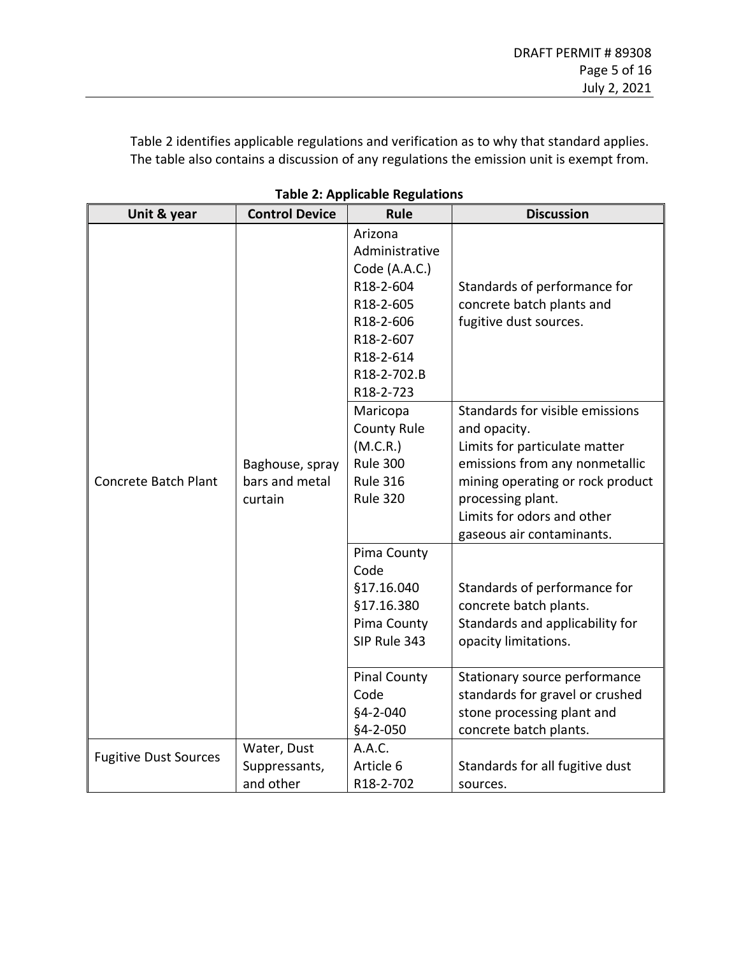[Table 2](#page-4-0) identifies applicable regulations and verification as to why that standard applies. The table also contains a discussion of any regulations the emission unit is exempt from.

<span id="page-4-0"></span>

| Unit & year                  | <b>Control Device</b>                        | Rule                                                                                                                                    | <b>Discussion</b>                                                                                                                                                                                                                      |
|------------------------------|----------------------------------------------|-----------------------------------------------------------------------------------------------------------------------------------------|----------------------------------------------------------------------------------------------------------------------------------------------------------------------------------------------------------------------------------------|
|                              |                                              | Arizona<br>Administrative<br>Code (A.A.C.)<br>R18-2-604<br>R18-2-605<br>R18-2-606<br>R18-2-607<br>R18-2-614<br>R18-2-702.B<br>R18-2-723 | Standards of performance for<br>concrete batch plants and<br>fugitive dust sources.                                                                                                                                                    |
| <b>Concrete Batch Plant</b>  | Baghouse, spray<br>bars and metal<br>curtain | Maricopa<br><b>County Rule</b><br>(M.C.R.)<br><b>Rule 300</b><br><b>Rule 316</b><br><b>Rule 320</b>                                     | Standards for visible emissions<br>and opacity.<br>Limits for particulate matter<br>emissions from any nonmetallic<br>mining operating or rock product<br>processing plant.<br>Limits for odors and other<br>gaseous air contaminants. |
|                              |                                              | Pima County<br>Code<br>§17.16.040<br>§17.16.380<br>Pima County<br>SIP Rule 343                                                          | Standards of performance for<br>concrete batch plants.<br>Standards and applicability for<br>opacity limitations.                                                                                                                      |
|                              |                                              | <b>Pinal County</b><br>Code<br>$§4 - 2 - 040$<br>§4-2-050                                                                               | Stationary source performance<br>standards for gravel or crushed<br>stone processing plant and<br>concrete batch plants.                                                                                                               |
| <b>Fugitive Dust Sources</b> | Water, Dust<br>Suppressants,<br>and other    | A.A.C.<br>Article 6<br>R18-2-702                                                                                                        | Standards for all fugitive dust<br>sources.                                                                                                                                                                                            |

|  |  | <b>Table 2: Applicable Regulations</b> |
|--|--|----------------------------------------|
|--|--|----------------------------------------|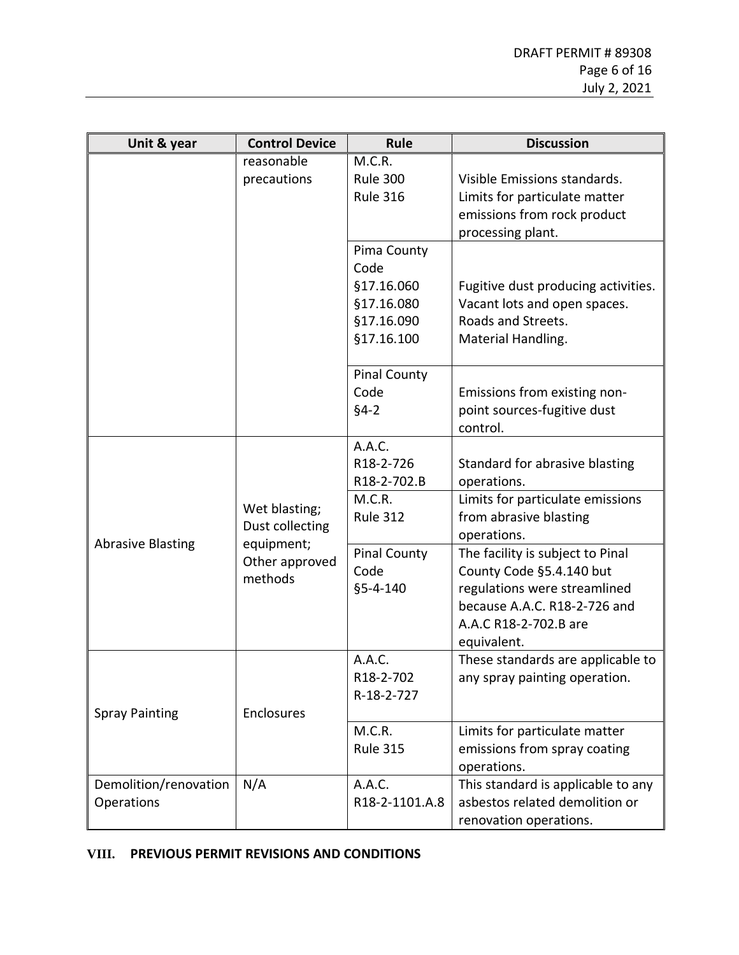| Unit & year              | <b>Control Device</b>        | Rule                | <b>Discussion</b>                   |
|--------------------------|------------------------------|---------------------|-------------------------------------|
|                          | reasonable                   | M.C.R.              |                                     |
|                          | precautions                  | <b>Rule 300</b>     | Visible Emissions standards.        |
|                          |                              | <b>Rule 316</b>     | Limits for particulate matter       |
|                          |                              |                     | emissions from rock product         |
|                          |                              |                     | processing plant.                   |
|                          |                              | Pima County         |                                     |
|                          |                              | Code                |                                     |
|                          |                              | §17.16.060          | Fugitive dust producing activities. |
|                          |                              | §17.16.080          | Vacant lots and open spaces.        |
|                          |                              | §17.16.090          | Roads and Streets.                  |
|                          |                              | §17.16.100          | Material Handling.                  |
|                          |                              |                     |                                     |
|                          |                              | <b>Pinal County</b> |                                     |
|                          |                              | Code                | Emissions from existing non-        |
|                          |                              | $§4-2$              | point sources-fugitive dust         |
|                          |                              |                     | control.                            |
|                          |                              | A.A.C.              |                                     |
|                          | Wet blasting;                | R18-2-726           | Standard for abrasive blasting      |
|                          |                              | R18-2-702.B         | operations.                         |
|                          |                              | M.C.R.              | Limits for particulate emissions    |
|                          | Dust collecting              | <b>Rule 312</b>     | from abrasive blasting              |
| <b>Abrasive Blasting</b> | equipment;<br>Other approved |                     | operations.                         |
|                          |                              | <b>Pinal County</b> | The facility is subject to Pinal    |
|                          | methods                      | Code                | County Code §5.4.140 but            |
|                          |                              | §5-4-140            | regulations were streamlined        |
|                          |                              |                     | because A.A.C. R18-2-726 and        |
|                          |                              |                     | A.A.C R18-2-702.B are               |
|                          |                              |                     | equivalent.                         |
|                          |                              | A.A.C.              | These standards are applicable to   |
|                          |                              | R18-2-702           | any spray painting operation.       |
|                          |                              | R-18-2-727          |                                     |
| <b>Spray Painting</b>    | Enclosures                   |                     |                                     |
|                          |                              | M.C.R.              | Limits for particulate matter       |
|                          |                              | <b>Rule 315</b>     | emissions from spray coating        |
|                          |                              |                     | operations.                         |
| Demolition/renovation    | N/A                          | A.A.C.              | This standard is applicable to any  |
| Operations               |                              | R18-2-1101.A.8      | asbestos related demolition or      |
|                          |                              |                     | renovation operations.              |

### **VIII. PREVIOUS PERMIT REVISIONS AND CONDITIONS**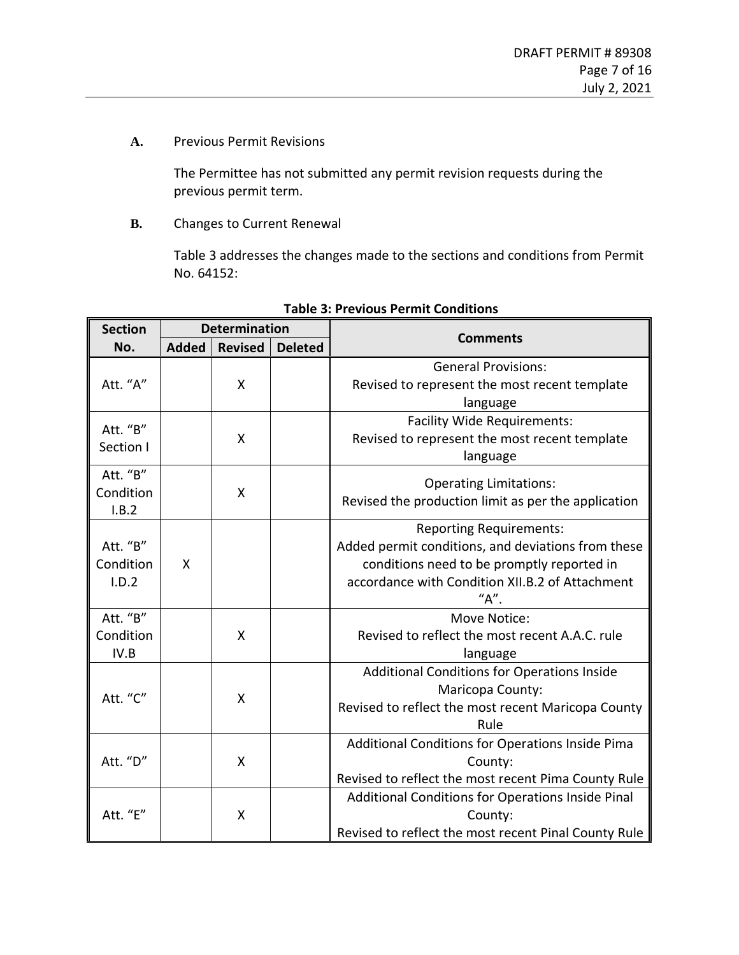**A.** Previous Permit Revisions

The Permittee has not submitted any permit revision requests during the previous permit term.

**B.** Changes to Current Renewal

[Table 3](#page-6-0) addresses the changes made to the sections and conditions from Permit No. 64152:

| <b>Section</b> | <b>Determination</b> |                |                | <b>Comments</b>                                      |  |  |
|----------------|----------------------|----------------|----------------|------------------------------------------------------|--|--|
| No.            | <b>Added</b>         | <b>Revised</b> | <b>Deleted</b> |                                                      |  |  |
|                |                      |                |                | <b>General Provisions:</b>                           |  |  |
| Att. "A"       |                      | X              |                | Revised to represent the most recent template        |  |  |
|                |                      |                |                | language                                             |  |  |
| Att. "B"       |                      |                |                | <b>Facility Wide Requirements:</b>                   |  |  |
| Section I      |                      | X              |                | Revised to represent the most recent template        |  |  |
|                |                      |                |                | language                                             |  |  |
| Att. "B"       |                      |                |                | <b>Operating Limitations:</b>                        |  |  |
| Condition      |                      | X              |                | Revised the production limit as per the application  |  |  |
| I.B.2          |                      |                |                |                                                      |  |  |
|                |                      |                |                | <b>Reporting Requirements:</b>                       |  |  |
| Att. "B"       |                      |                |                | Added permit conditions, and deviations from these   |  |  |
| Condition      | X                    |                |                | conditions need to be promptly reported in           |  |  |
| I.D.2          |                      |                |                | accordance with Condition XII.B.2 of Attachment      |  |  |
|                |                      |                |                | "А".                                                 |  |  |
| Att. "B"       |                      |                |                | Move Notice:                                         |  |  |
| Condition      |                      | X              |                | Revised to reflect the most recent A.A.C. rule       |  |  |
| IV.B           |                      |                |                | language                                             |  |  |
|                |                      |                |                | Additional Conditions for Operations Inside          |  |  |
| Att. "C"       |                      | X              |                | Maricopa County:                                     |  |  |
|                |                      |                |                | Revised to reflect the most recent Maricopa County   |  |  |
|                |                      |                |                | Rule                                                 |  |  |
|                |                      |                |                | Additional Conditions for Operations Inside Pima     |  |  |
| Att. "D"       |                      | X              |                | County:                                              |  |  |
|                |                      |                |                | Revised to reflect the most recent Pima County Rule  |  |  |
|                |                      |                |                | Additional Conditions for Operations Inside Pinal    |  |  |
| Att. "E"       |                      | Χ              |                | County:                                              |  |  |
|                |                      |                |                | Revised to reflect the most recent Pinal County Rule |  |  |

#### <span id="page-6-0"></span>**Table 3: Previous Permit Conditions**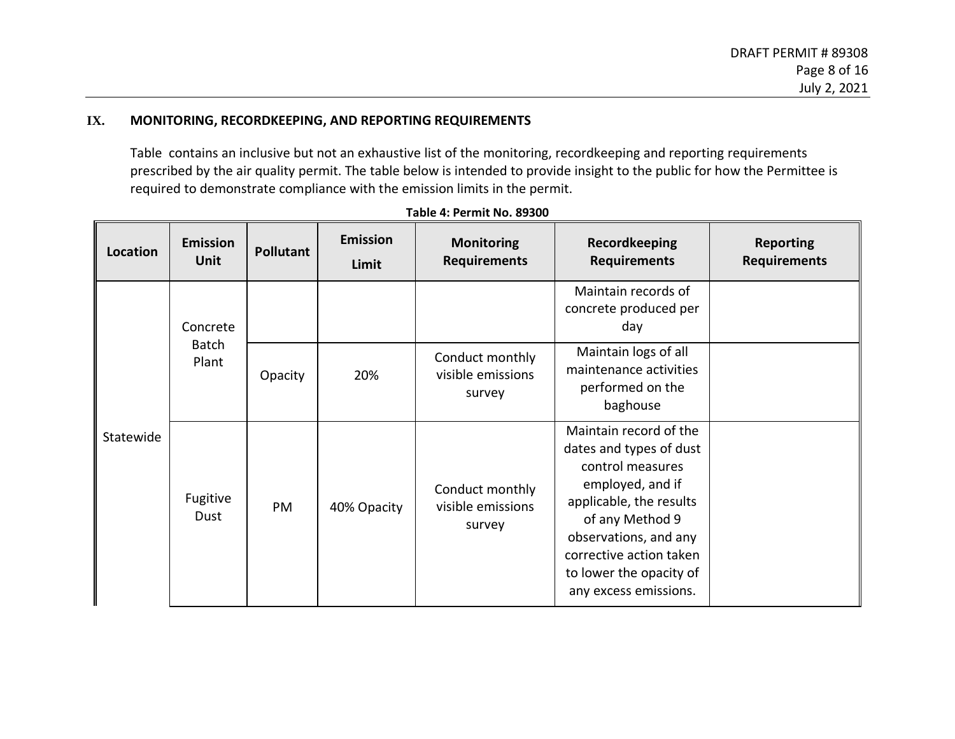### **IX. MONITORING, RECORDKEEPING, AND REPORTING REQUIREMENTS**

[Table](#page-7-0) contains an inclusive but not an exhaustive list of the monitoring, recordkeeping and reporting requirements prescribed by the air quality permit. The table below is intended to provide insight to the public for how the Permittee is required to demonstrate compliance with the emission limits in the permit.

<span id="page-7-0"></span>

| Location  | <b>Emission</b><br><b>Unit</b>    | <b>Pollutant</b> | <b>Emission</b><br>Limit | <b>Monitoring</b><br><b>Requirements</b>       | <b>Recordkeeping</b><br><b>Requirements</b>                                                                                                                                                                                                     | <b>Reporting</b><br><b>Requirements</b> |
|-----------|-----------------------------------|------------------|--------------------------|------------------------------------------------|-------------------------------------------------------------------------------------------------------------------------------------------------------------------------------------------------------------------------------------------------|-----------------------------------------|
|           | Concrete<br><b>Batch</b><br>Plant |                  |                          |                                                | Maintain records of<br>concrete produced per<br>day                                                                                                                                                                                             |                                         |
|           |                                   | Opacity          | 20%                      | Conduct monthly<br>visible emissions<br>survey | Maintain logs of all<br>maintenance activities<br>performed on the<br>baghouse                                                                                                                                                                  |                                         |
| Statewide | Fugitive<br>Dust                  | PM               | 40% Opacity              | Conduct monthly<br>visible emissions<br>survey | Maintain record of the<br>dates and types of dust<br>control measures<br>employed, and if<br>applicable, the results<br>of any Method 9<br>observations, and any<br>corrective action taken<br>to lower the opacity of<br>any excess emissions. |                                         |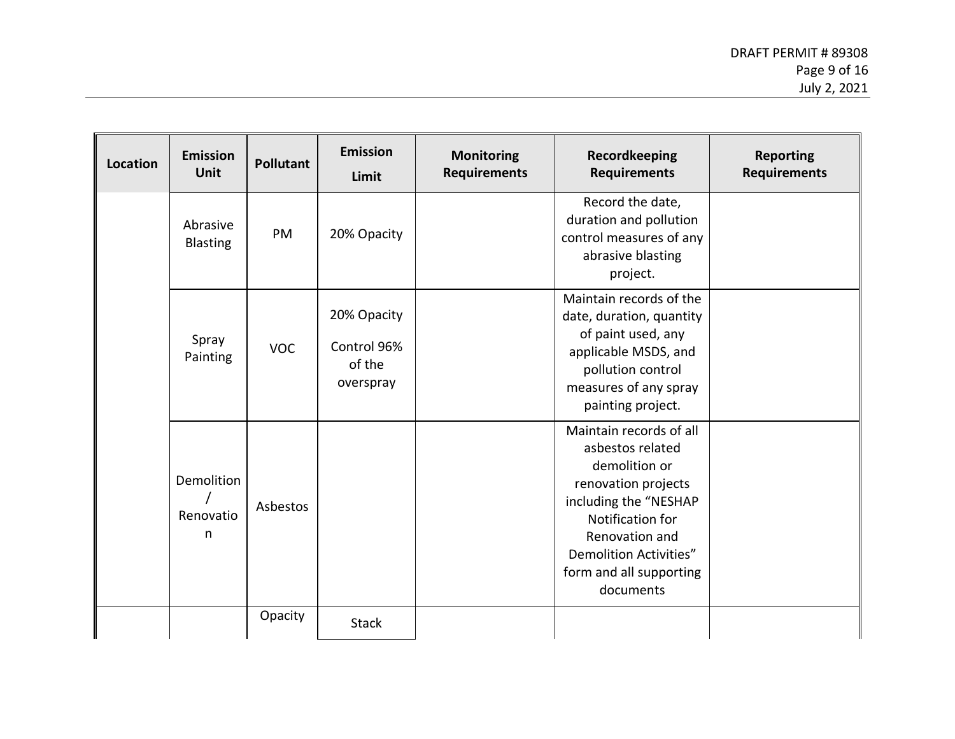| <b>Location</b> | <b>Emission</b><br>Unit      | <b>Pollutant</b> | <b>Emission</b><br>Limit                          | <b>Monitoring</b><br><b>Requirements</b> | Recordkeeping<br><b>Requirements</b>                                                                                                                                                                                        | <b>Reporting</b><br><b>Requirements</b> |
|-----------------|------------------------------|------------------|---------------------------------------------------|------------------------------------------|-----------------------------------------------------------------------------------------------------------------------------------------------------------------------------------------------------------------------------|-----------------------------------------|
|                 | Abrasive<br><b>Blasting</b>  | PM               | 20% Opacity                                       |                                          | Record the date,<br>duration and pollution<br>control measures of any<br>abrasive blasting<br>project.                                                                                                                      |                                         |
|                 | Spray<br>Painting            | <b>VOC</b>       | 20% Opacity<br>Control 96%<br>of the<br>overspray |                                          | Maintain records of the<br>date, duration, quantity<br>of paint used, any<br>applicable MSDS, and<br>pollution control<br>measures of any spray<br>painting project.                                                        |                                         |
|                 | Demolition<br>Renovatio<br>n | Asbestos         |                                                   |                                          | Maintain records of all<br>asbestos related<br>demolition or<br>renovation projects<br>including the "NESHAP<br>Notification for<br>Renovation and<br><b>Demolition Activities"</b><br>form and all supporting<br>documents |                                         |
|                 |                              | Opacity          | <b>Stack</b>                                      |                                          |                                                                                                                                                                                                                             |                                         |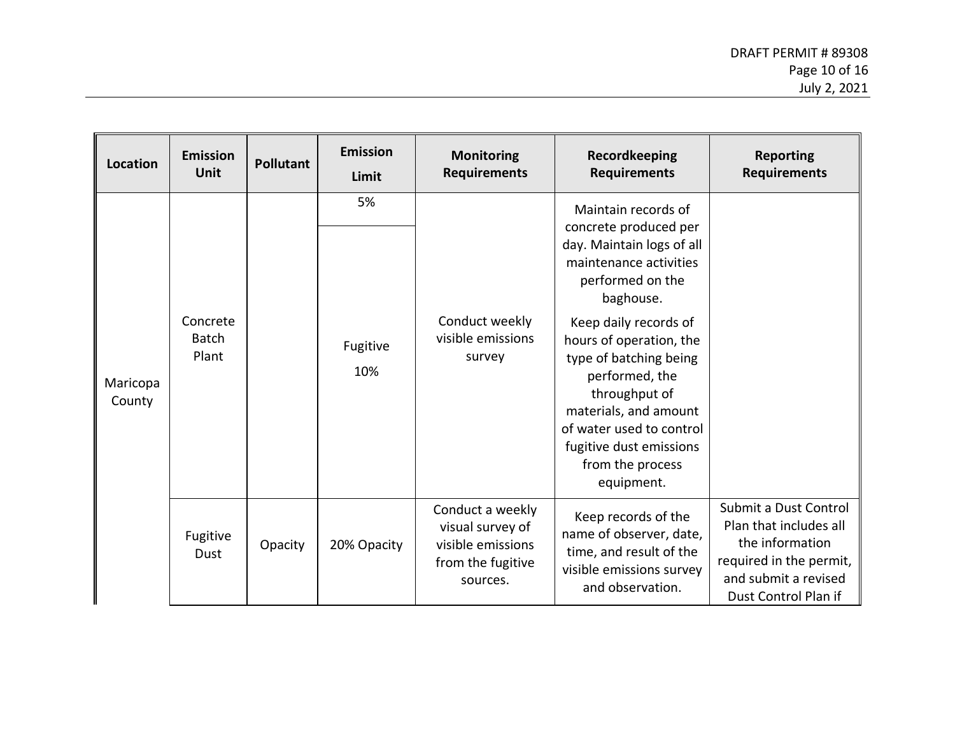| <b>Location</b>    | <b>Emission</b><br>Unit           | <b>Pollutant</b> | <b>Emission</b><br>Limit | <b>Monitoring</b><br><b>Requirements</b>                                                   | Recordkeeping<br><b>Requirements</b>                                                                                                                                                                                                                                                                                                                                    | <b>Reporting</b><br><b>Requirements</b>                                                                                                       |
|--------------------|-----------------------------------|------------------|--------------------------|--------------------------------------------------------------------------------------------|-------------------------------------------------------------------------------------------------------------------------------------------------------------------------------------------------------------------------------------------------------------------------------------------------------------------------------------------------------------------------|-----------------------------------------------------------------------------------------------------------------------------------------------|
| Maricopa<br>County | Concrete<br><b>Batch</b><br>Plant |                  | 5%<br>Fugitive<br>10%    | Conduct weekly<br>visible emissions<br>survey                                              | Maintain records of<br>concrete produced per<br>day. Maintain logs of all<br>maintenance activities<br>performed on the<br>baghouse.<br>Keep daily records of<br>hours of operation, the<br>type of batching being<br>performed, the<br>throughput of<br>materials, and amount<br>of water used to control<br>fugitive dust emissions<br>from the process<br>equipment. |                                                                                                                                               |
|                    | Fugitive<br>Dust                  | Opacity          | 20% Opacity              | Conduct a weekly<br>visual survey of<br>visible emissions<br>from the fugitive<br>sources. | Keep records of the<br>name of observer, date,<br>time, and result of the<br>visible emissions survey<br>and observation.                                                                                                                                                                                                                                               | Submit a Dust Control<br>Plan that includes all<br>the information<br>required in the permit,<br>and submit a revised<br>Dust Control Plan if |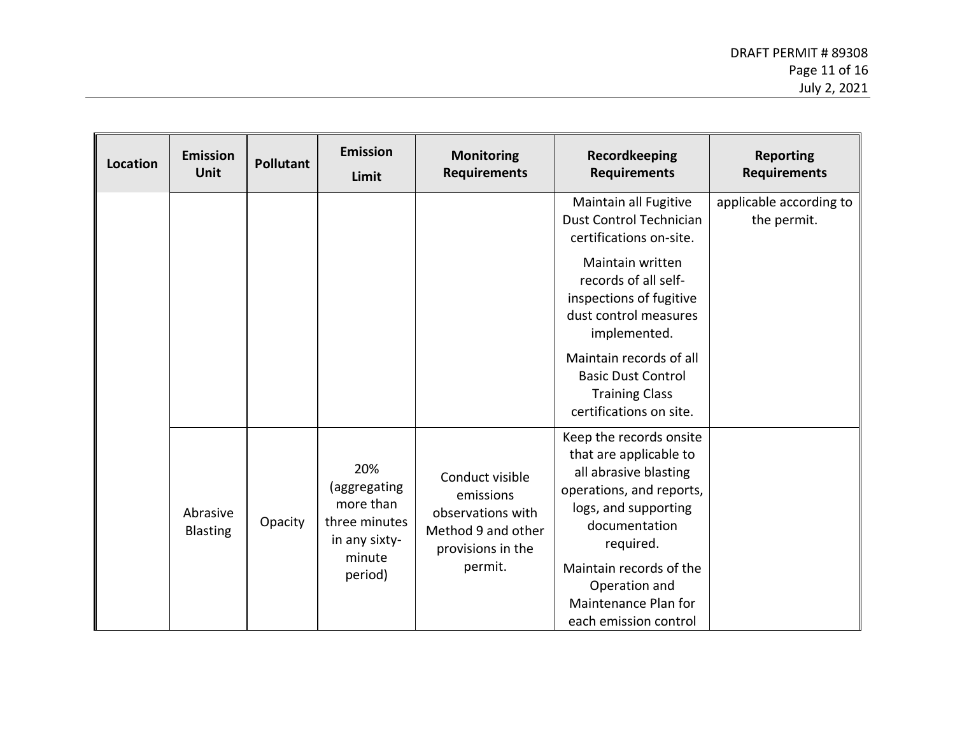| Location | <b>Emission</b><br><b>Unit</b> | <b>Pollutant</b> | <b>Emission</b><br>Limit                                                                | <b>Monitoring</b><br><b>Requirements</b>                                                                | Recordkeeping<br><b>Requirements</b>                                                                                                                                                                                                                                                                    | <b>Reporting</b><br><b>Requirements</b> |
|----------|--------------------------------|------------------|-----------------------------------------------------------------------------------------|---------------------------------------------------------------------------------------------------------|---------------------------------------------------------------------------------------------------------------------------------------------------------------------------------------------------------------------------------------------------------------------------------------------------------|-----------------------------------------|
|          |                                |                  |                                                                                         |                                                                                                         | Maintain all Fugitive<br>Dust Control Technician<br>certifications on-site.<br>Maintain written<br>records of all self-<br>inspections of fugitive<br>dust control measures<br>implemented.<br>Maintain records of all<br><b>Basic Dust Control</b><br><b>Training Class</b><br>certifications on site. | applicable according to<br>the permit.  |
|          | Abrasive<br><b>Blasting</b>    | Opacity          | 20%<br>(aggregating<br>more than<br>three minutes<br>in any sixty-<br>minute<br>period) | Conduct visible<br>emissions<br>observations with<br>Method 9 and other<br>provisions in the<br>permit. | Keep the records onsite<br>that are applicable to<br>all abrasive blasting<br>operations, and reports,<br>logs, and supporting<br>documentation<br>required.<br>Maintain records of the<br>Operation and<br>Maintenance Plan for<br>each emission control                                               |                                         |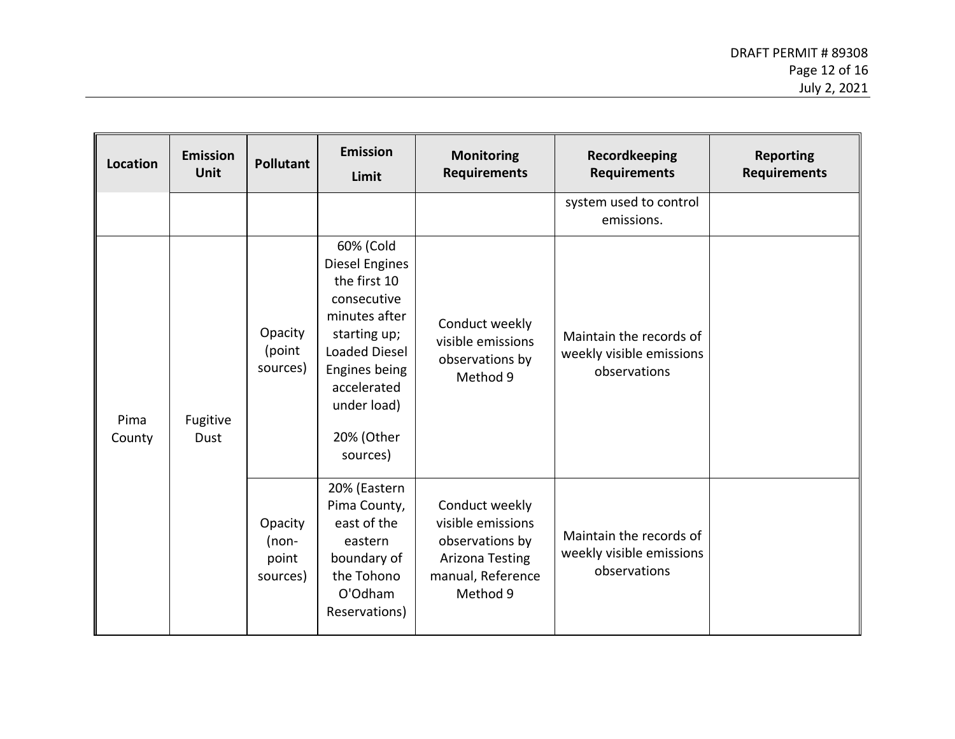| Location                                  | <b>Emission</b><br><b>Unit</b> | <b>Pollutant</b>                                                                                                                                                                                    | <b>Emission</b><br>Limit                                                                                        | <b>Monitoring</b><br><b>Requirements</b>                                                                          | <b>Recordkeeping</b><br><b>Requirements</b>                         | <b>Reporting</b><br><b>Requirements</b> |
|-------------------------------------------|--------------------------------|-----------------------------------------------------------------------------------------------------------------------------------------------------------------------------------------------------|-----------------------------------------------------------------------------------------------------------------|-------------------------------------------------------------------------------------------------------------------|---------------------------------------------------------------------|-----------------------------------------|
|                                           |                                |                                                                                                                                                                                                     |                                                                                                                 |                                                                                                                   | system used to control<br>emissions.                                |                                         |
| Pima<br>Fugitive<br><b>Dust</b><br>County | Opacity<br>(point<br>sources)  | 60% (Cold<br><b>Diesel Engines</b><br>the first 10<br>consecutive<br>minutes after<br>starting up;<br><b>Loaded Diesel</b><br>Engines being<br>accelerated<br>under load)<br>20% (Other<br>sources) | Conduct weekly<br>visible emissions<br>observations by<br>Method 9                                              | Maintain the records of<br>weekly visible emissions<br>observations                                               |                                                                     |                                         |
|                                           |                                | Opacity<br>$(non-$<br>point<br>sources)                                                                                                                                                             | 20% (Eastern<br>Pima County,<br>east of the<br>eastern<br>boundary of<br>the Tohono<br>O'Odham<br>Reservations) | Conduct weekly<br>visible emissions<br>observations by<br><b>Arizona Testing</b><br>manual, Reference<br>Method 9 | Maintain the records of<br>weekly visible emissions<br>observations |                                         |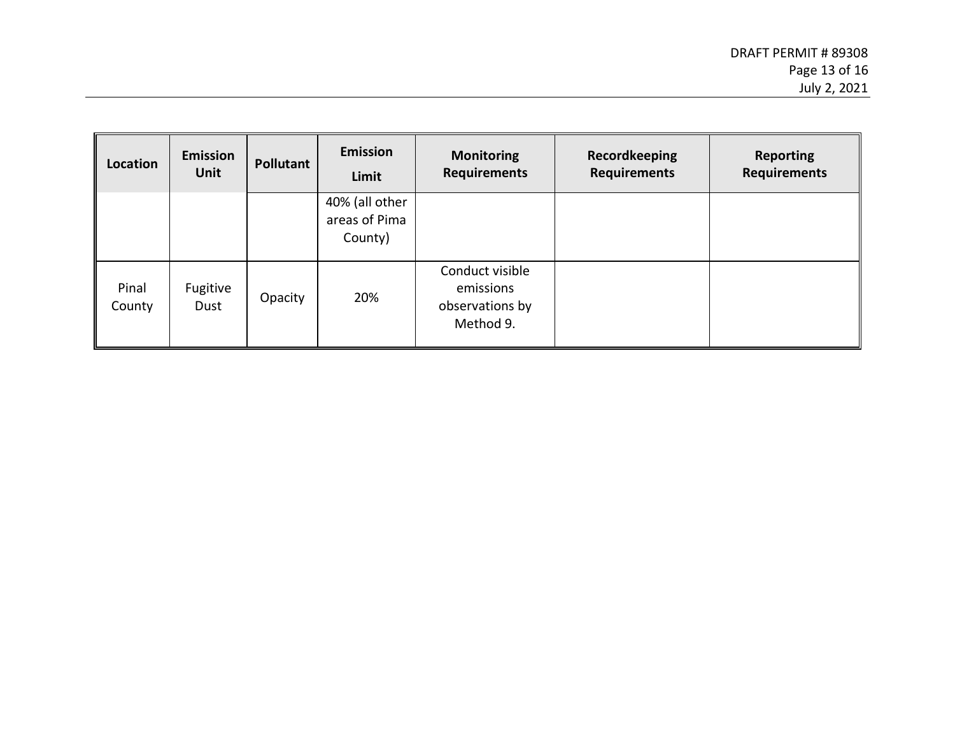| <b>Location</b> | <b>Emission</b><br><b>Unit</b> | Pollutant | <b>Emission</b><br>Limit                   | <b>Monitoring</b><br><b>Requirements</b>                     | Recordkeeping<br><b>Requirements</b> | <b>Reporting</b><br><b>Requirements</b> |
|-----------------|--------------------------------|-----------|--------------------------------------------|--------------------------------------------------------------|--------------------------------------|-----------------------------------------|
|                 |                                |           | 40% (all other<br>areas of Pima<br>County) |                                                              |                                      |                                         |
| Pinal<br>County | Fugitive<br>Dust               | Opacity   | 20%                                        | Conduct visible<br>emissions<br>observations by<br>Method 9. |                                      |                                         |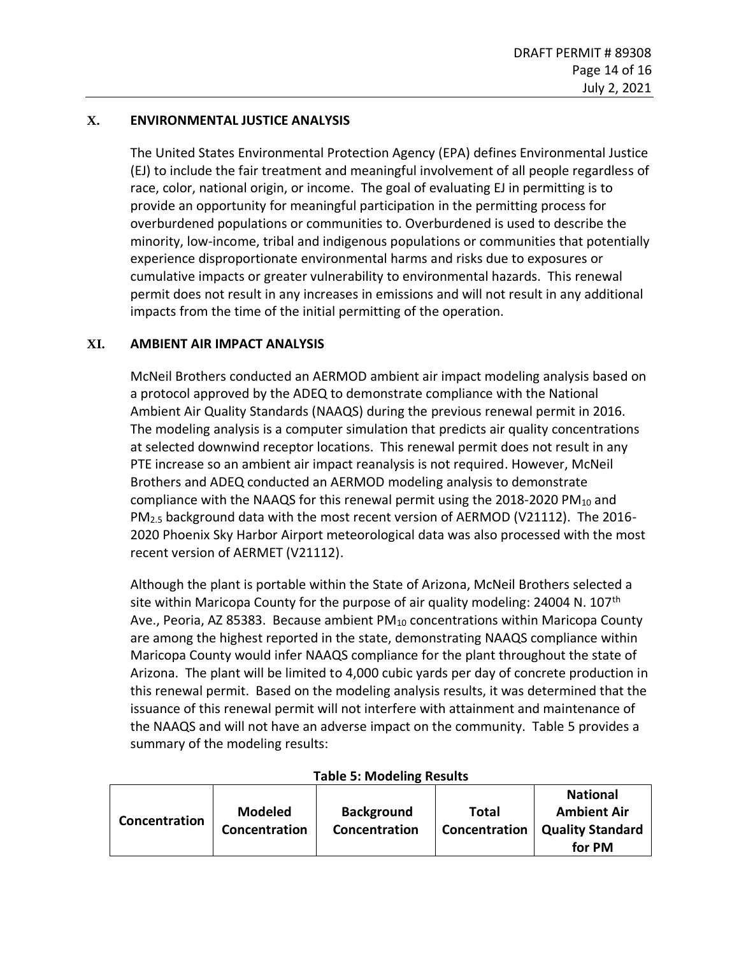# **X. ENVIRONMENTAL JUSTICE ANALYSIS**

The United States Environmental Protection Agency (EPA) defines Environmental Justice (EJ) to include the fair treatment and meaningful involvement of all people regardless of race, color, national origin, or income. The goal of evaluating EJ in permitting is to provide an opportunity for meaningful participation in the permitting process for overburdened populations or communities to. Overburdened is used to describe the minority, low-income, tribal and indigenous populations or communities that potentially experience disproportionate environmental harms and risks due to exposures or cumulative impacts or greater vulnerability to environmental hazards. This renewal permit does not result in any increases in emissions and will not result in any additional impacts from the time of the initial permitting of the operation.

### <span id="page-13-0"></span>**XI. AMBIENT AIR IMPACT ANALYSIS**

McNeil Brothers conducted an AERMOD ambient air impact modeling analysis based on a protocol approved by the ADEQ to demonstrate compliance with the National Ambient Air Quality Standards (NAAQS) during the previous renewal permit in 2016. The modeling analysis is a computer simulation that predicts air quality concentrations at selected downwind receptor locations. This renewal permit does not result in any PTE increase so an ambient air impact reanalysis is not required. However, McNeil Brothers and ADEQ conducted an AERMOD modeling analysis to demonstrate compliance with the NAAQS for this renewal permit using the 2018-2020 PM $_{10}$  and PM<sub>2.5</sub> background data with the most recent version of AERMOD (V21112). The 2016-2020 Phoenix Sky Harbor Airport meteorological data was also processed with the most recent version of AERMET (V21112).

Although the plant is portable within the State of Arizona, McNeil Brothers selected a site within Maricopa County for the purpose of air quality modeling: 24004 N. 107<sup>th</sup> Ave., Peoria, AZ 85383. Because ambient  $PM_{10}$  concentrations within Maricopa County are among the highest reported in the state, demonstrating NAAQS compliance within Maricopa County would infer NAAQS compliance for the plant throughout the state of Arizona. The plant will be limited to 4,000 cubic yards per day of concrete production in this renewal permit. Based on the modeling analysis results, it was determined that the issuance of this renewal permit will not interfere with attainment and maintenance of the NAAQS and will not have an adverse impact on the community. Table 5 provides a summary of the modeling results:

#### **Table 5: Modeling Results**

|               |                |                   |               | <b>National</b>         |
|---------------|----------------|-------------------|---------------|-------------------------|
| Concentration | <b>Modeled</b> | <b>Background</b> | <b>Total</b>  | <b>Ambient Air</b>      |
|               | Concentration  | Concentration     | Concentration | <b>Quality Standard</b> |
|               |                |                   |               | for PM                  |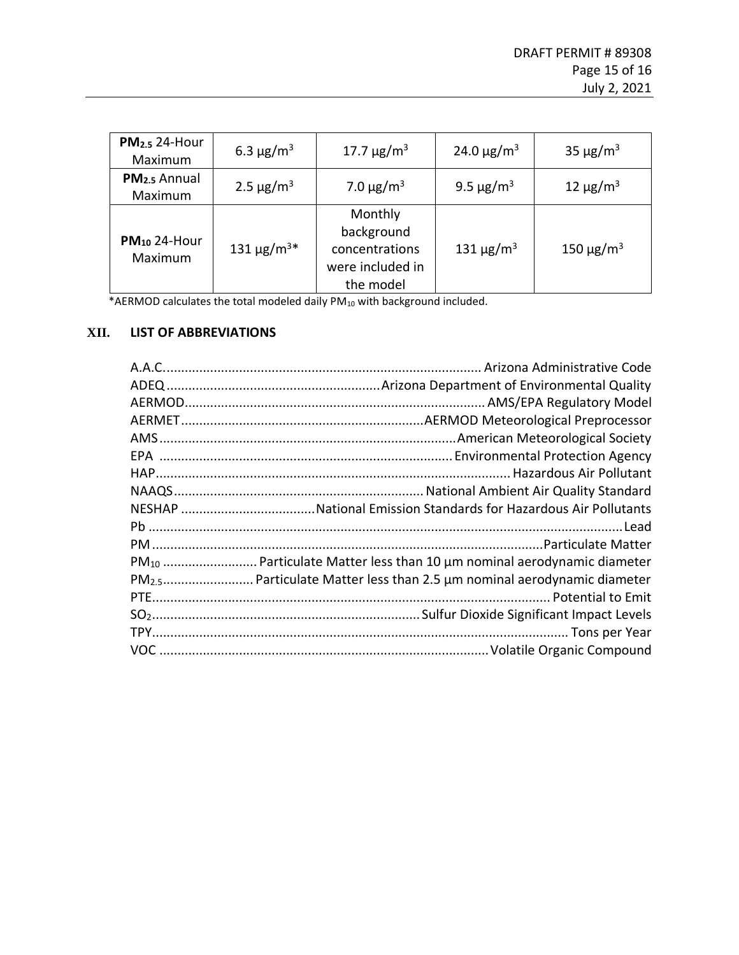| <b>PM2.5 24-Hour</b><br>Maximum     | 6.3 $\mu$ g/m <sup>3</sup>  | 17.7 $\mu$ g/m <sup>3</sup>                                              | 24.0 $\mu$ g/m <sup>3</sup> | 35 $\mu$ g/m <sup>3</sup>  |
|-------------------------------------|-----------------------------|--------------------------------------------------------------------------|-----------------------------|----------------------------|
| PM <sub>2.5</sub> Annual<br>Maximum | 2.5 $\mu$ g/m <sup>3</sup>  | 7.0 $\mu$ g/m <sup>3</sup>                                               | 9.5 $\mu$ g/m <sup>3</sup>  | 12 $\mu$ g/m <sup>3</sup>  |
| $PM_{10}$ 24-Hour<br>Maximum        | 131 $\mu$ g/m <sup>3*</sup> | Monthly<br>background<br>concentrations<br>were included in<br>the model | 131 $\mu$ g/m <sup>3</sup>  | 150 $\mu$ g/m <sup>3</sup> |

\*AERMOD calculates the total modeled daily PM<sub>10</sub> with background included.

# **XII. LIST OF ABBREVIATIONS**